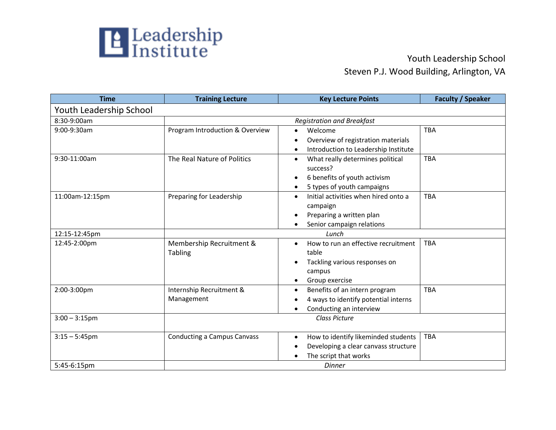

## Steven P.J. Wood Building, Arlington, VA

| <b>Time</b>             | <b>Training Lecture</b>            | <b>Key Lecture Points</b>                         | <b>Faculty / Speaker</b> |
|-------------------------|------------------------------------|---------------------------------------------------|--------------------------|
| Youth Leadership School |                                    |                                                   |                          |
| 8:30-9:00am             | <b>Registration and Breakfast</b>  |                                                   |                          |
| 9:00-9:30am             | Program Introduction & Overview    | Welcome<br>$\bullet$                              | <b>TBA</b>               |
|                         |                                    | Overview of registration materials                |                          |
|                         |                                    | Introduction to Leadership Institute              |                          |
| 9:30-11:00am            | The Real Nature of Politics        | What really determines political<br>$\bullet$     | <b>TBA</b>               |
|                         |                                    | success?                                          |                          |
|                         |                                    | 6 benefits of youth activism                      |                          |
|                         |                                    | 5 types of youth campaigns                        |                          |
| 11:00am-12:15pm         | Preparing for Leadership           | Initial activities when hired onto a<br>$\bullet$ | <b>TBA</b>               |
|                         |                                    | campaign                                          |                          |
|                         |                                    | Preparing a written plan                          |                          |
|                         |                                    | Senior campaign relations                         |                          |
| 12:15-12:45pm           |                                    | Lunch                                             |                          |
| 12:45-2:00pm            | Membership Recruitment &           | How to run an effective recruitment<br>$\bullet$  | <b>TBA</b>               |
|                         | <b>Tabling</b>                     | table                                             |                          |
|                         |                                    | Tackling various responses on<br>$\bullet$        |                          |
|                         |                                    | campus                                            |                          |
|                         |                                    | Group exercise<br>$\bullet$                       |                          |
| 2:00-3:00pm             | Internship Recruitment &           | Benefits of an intern program<br>$\bullet$        | <b>TBA</b>               |
|                         | Management                         | 4 ways to identify potential interns              |                          |
|                         |                                    | Conducting an interview<br>٠                      |                          |
| $3:00 - 3:15$ pm        |                                    | Class Picture                                     |                          |
|                         |                                    |                                                   |                          |
| $3:15 - 5:45$ pm        | <b>Conducting a Campus Canvass</b> | How to identify likeminded students<br>$\bullet$  | <b>TBA</b>               |
|                         |                                    | Developing a clear canvass structure              |                          |
|                         |                                    | The script that works                             |                          |
| 5:45-6:15pm             |                                    | <b>Dinner</b>                                     |                          |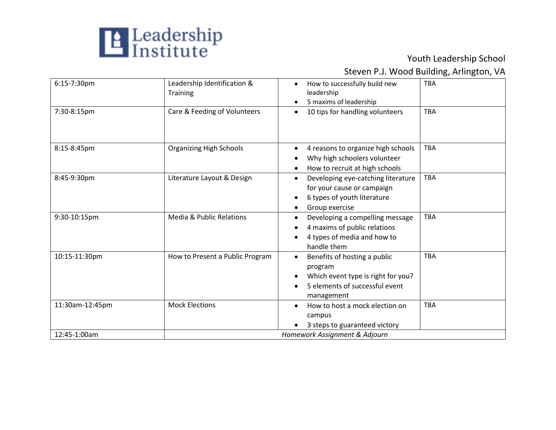

## Steven P.J. Wood Building, Arlington, VA

| 6:15-7:30pm     | Leadership Identification &<br><b>Training</b> | How to successfully build new<br>$\bullet$<br>leadership<br>5 maxims of leadership<br>$\bullet$                                | <b>TBA</b> |
|-----------------|------------------------------------------------|--------------------------------------------------------------------------------------------------------------------------------|------------|
| 7:30-8:15pm     | Care & Feeding of Volunteers                   | 10 tips for handling volunteers<br>$\bullet$                                                                                   | <b>TBA</b> |
| 8:15-8:45pm     | <b>Organizing High Schools</b>                 | 4 reasons to organize high schools<br>Why high schoolers volunteer<br>How to recruit at high schools<br>$\bullet$              | <b>TBA</b> |
| 8:45-9:30pm     | Literature Layout & Design                     | Developing eye-catching literature<br>$\bullet$<br>for your cause or campaign<br>6 types of youth literature<br>Group exercise | <b>TBA</b> |
| 9:30-10:15pm    | <b>Media &amp; Public Relations</b>            | Developing a compelling message<br>4 maxims of public relations<br>4 types of media and how to<br>handle them                  | <b>TBA</b> |
| 10:15-11:30pm   | How to Present a Public Program                | Benefits of hosting a public<br>program<br>Which event type is right for you?<br>5 elements of successful event<br>management  | <b>TBA</b> |
| 11:30am-12:45pm | <b>Mock Elections</b>                          | How to host a mock election on<br>campus<br>3 steps to guaranteed victory                                                      | <b>TBA</b> |
| 12:45-1:00am    | Homework Assignment & Adjourn                  |                                                                                                                                |            |